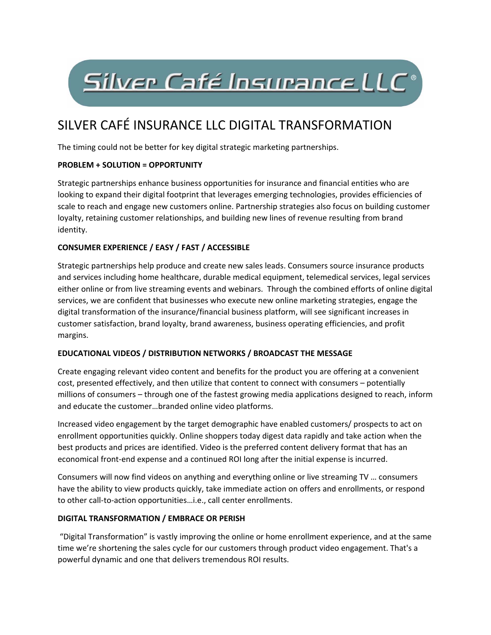# Silver Café Insurance LLC<sup>®</sup>

# SILVER CAFÉ INSURANCE LLC DIGITAL TRANSFORMATION

The timing could not be better for key digital strategic marketing partnerships.

### **PROBLEM + SOLUTION = OPPORTUNITY**

Strategic partnerships enhance business opportunities for insurance and financial entities who are looking to expand their digital footprint that leverages emerging technologies, provides efficiencies of scale to reach and engage new customers online. Partnership strategies also focus on building customer loyalty, retaining customer relationships, and building new lines of revenue resulting from brand identity.

### **CONSUMER EXPERIENCE / EASY / FAST / ACCESSIBLE**

Strategic partnerships help produce and create new sales leads. Consumers source insurance products and services including home healthcare, durable medical equipment, telemedical services, legal services either online or from live streaming events and webinars. Through the combined efforts of online digital services, we are confident that businesses who execute new online marketing strategies, engage the digital transformation of the insurance/financial business platform, will see significant increases in customer satisfaction, brand loyalty, brand awareness, business operating efficiencies, and profit margins.

#### **EDUCATIONAL VIDEOS / DISTRIBUTION NETWORKS / BROADCAST THE MESSAGE**

Create engaging relevant video content and benefits for the product you are offering at a convenient cost, presented effectively, and then utilize that content to connect with consumers – potentially millions of consumers – through one of the fastest growing media applications designed to reach, inform and educate the customer…branded online video platforms.

Increased video engagement by the target demographic have enabled customers/ prospects to act on enrollment opportunities quickly. Online shoppers today digest data rapidly and take action when the best products and prices are identified. Video is the preferred content delivery format that has an economical front‐end expense and a continued ROI long after the initial expense is incurred.

Consumers will now find videos on anything and everything online or live streaming TV … consumers have the ability to view products quickly, take immediate action on offers and enrollments, or respond to other call‐to‐action opportunities…i.e., call center enrollments.

#### **DIGITAL TRANSFORMATION / EMBRACE OR PERISH**

 "Digital Transformation" is vastly improving the online or home enrollment experience, and at the same time we're shortening the sales cycle for our customers through product video engagement. That's a powerful dynamic and one that delivers tremendous ROI results.